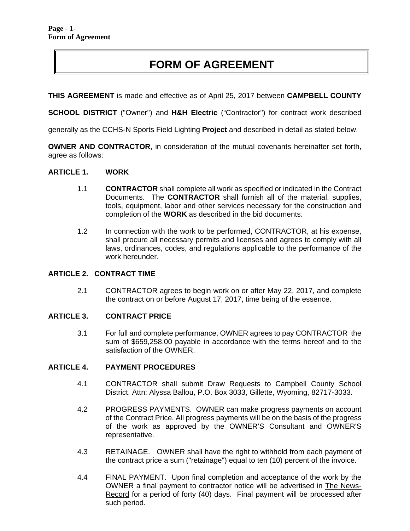# **FORM OF AGREEMENT**

**THIS AGREEMENT** is made and effective as of April 25, 2017 between **CAMPBELL COUNTY** 

**SCHOOL DISTRICT** ("Owner") and **H&H Electric** ("Contractor") for contract work described

generally as the CCHS-N Sports Field Lighting **Project** and described in detail as stated below.

**OWNER AND CONTRACTOR**, in consideration of the mutual covenants hereinafter set forth, agree as follows:

#### **ARTICLE 1. WORK**

- 1.1 **CONTRACTOR** shall complete all work as specified or indicated in the Contract Documents. The **CONTRACTOR** shall furnish all of the material, supplies, tools, equipment, labor and other services necessary for the construction and completion of the **WORK** as described in the bid documents.
- 1.2 In connection with the work to be performed, CONTRACTOR, at his expense, shall procure all necessary permits and licenses and agrees to comply with all laws, ordinances, codes, and regulations applicable to the performance of the work hereunder.

# **ARTICLE 2. CONTRACT TIME**

2.1 CONTRACTOR agrees to begin work on or after May 22, 2017, and complete the contract on or before August 17, 2017, time being of the essence.

#### **ARTICLE 3. CONTRACT PRICE**

3.1 For full and complete performance, OWNER agrees to pay CONTRACTOR the sum of \$659,258.00 payable in accordance with the terms hereof and to the satisfaction of the OWNER.

#### **ARTICLE 4. PAYMENT PROCEDURES**

- 4.1 CONTRACTOR shall submit Draw Requests to Campbell County School District, Attn: Alyssa Ballou, P.O. Box 3033, Gillette, Wyoming, 82717-3033.
- 4.2 PROGRESS PAYMENTS. OWNER can make progress payments on account of the Contract Price. All progress payments will be on the basis of the progress of the work as approved by the OWNER'S Consultant and OWNER'S representative.
- 4.3 RETAINAGE. OWNER shall have the right to withhold from each payment of the contract price a sum ("retainage") equal to ten (10) percent of the invoice.
- 4.4 FINAL PAYMENT. Upon final completion and acceptance of the work by the OWNER a final payment to contractor notice will be advertised in The News-Record for a period of forty (40) days. Final payment will be processed after such period.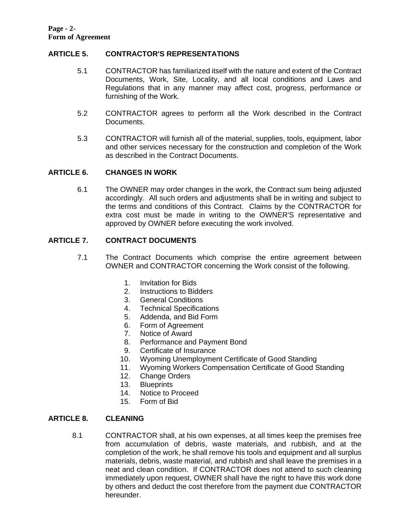# **ARTICLE 5. CONTRACTOR'S REPRESENTATIONS**

- 5.1 CONTRACTOR has familiarized itself with the nature and extent of the Contract Documents, Work, Site, Locality, and all local conditions and Laws and Regulations that in any manner may affect cost, progress, performance or furnishing of the Work.
- 5.2 CONTRACTOR agrees to perform all the Work described in the Contract Documents.
- 5.3 CONTRACTOR will furnish all of the material, supplies, tools, equipment, labor and other services necessary for the construction and completion of the Work as described in the Contract Documents.

## **ARTICLE 6. CHANGES IN WORK**

6.1 The OWNER may order changes in the work, the Contract sum being adjusted accordingly. All such orders and adjustments shall be in writing and subject to the terms and conditions of this Contract. Claims by the CONTRACTOR for extra cost must be made in writing to the OWNER'S representative and approved by OWNER before executing the work involved.

# **ARTICLE 7. CONTRACT DOCUMENTS**

- 7.1 The Contract Documents which comprise the entire agreement between OWNER and CONTRACTOR concerning the Work consist of the following.
	- 1. Invitation for Bids
	- 2. Instructions to Bidders
	- 3. General Conditions
	- 4. Technical Specifications
	- 5. Addenda, and Bid Form
	- 6. Form of Agreement
	- 7. Notice of Award
	- 8. Performance and Payment Bond
	- 9. Certificate of Insurance
	- 10. Wyoming Unemployment Certificate of Good Standing
	- 11. Wyoming Workers Compensation Certificate of Good Standing
	- 12. Change Orders
	- 13. Blueprints
	- 14. Notice to Proceed
	- 15. Form of Bid

#### **ARTICLE 8. CLEANING**

8.1 CONTRACTOR shall, at his own expenses, at all times keep the premises free from accumulation of debris, waste materials, and rubbish, and at the completion of the work, he shall remove his tools and equipment and all surplus materials, debris, waste material, and rubbish and shall leave the premises in a neat and clean condition. If CONTRACTOR does not attend to such cleaning immediately upon request, OWNER shall have the right to have this work done by others and deduct the cost therefore from the payment due CONTRACTOR hereunder.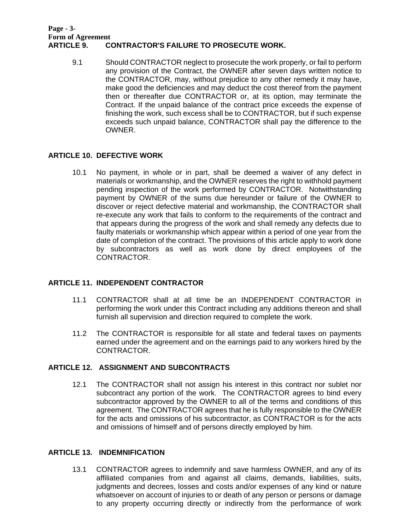#### **Page - 3- Form of Agreement CONTRACTOR'S FAILURE TO PROSECUTE WORK.**

9.1 Should CONTRACTOR neglect to prosecute the work properly, or fail to perform any provision of the Contract, the OWNER after seven days written notice to the CONTRACTOR, may, without prejudice to any other remedy it may have, make good the deficiencies and may deduct the cost thereof from the payment then or thereafter due CONTRACTOR or, at its option, may terminate the Contract. If the unpaid balance of the contract price exceeds the expense of finishing the work, such excess shall be to CONTRACTOR, but if such expense exceeds such unpaid balance, CONTRACTOR shall pay the difference to the OWNER.

## **ARTICLE 10. DEFECTIVE WORK**

10.1 No payment, in whole or in part, shall be deemed a waiver of any defect in materials or workmanship, and the OWNER reserves the right to withhold payment pending inspection of the work performed by CONTRACTOR. Notwithstanding payment by OWNER of the sums due hereunder or failure of the OWNER to discover or reject defective material and workmanship, the CONTRACTOR shall re-execute any work that fails to conform to the requirements of the contract and that appears during the progress of the work and shall remedy any defects due to faulty materials or workmanship which appear within a period of one year from the date of completion of the contract. The provisions of this article apply to work done by subcontractors as well as work done by direct employees of the CONTRACTOR.

# **ARTICLE 11. INDEPENDENT CONTRACTOR**

- 11.1 CONTRACTOR shall at all time be an INDEPENDENT CONTRACTOR in performing the work under this Contract including any additions thereon and shall furnish all supervision and direction required to complete the work.
- 11.2 The CONTRACTOR is responsible for all state and federal taxes on payments earned under the agreement and on the earnings paid to any workers hired by the CONTRACTOR.

# **ARTICLE 12. ASSIGNMENT AND SUBCONTRACTS**

12.1 The CONTRACTOR shall not assign his interest in this contract nor sublet nor subcontract any portion of the work. The CONTRACTOR agrees to bind every subcontractor approved by the OWNER to all of the terms and conditions of this agreement. The CONTRACTOR agrees that he is fully responsible to the OWNER for the acts and omissions of his subcontractor, as CONTRACTOR is for the acts and omissions of himself and of persons directly employed by him.

# **ARTICLE 13. INDEMNIFICATION**

13.1 CONTRACTOR agrees to indemnify and save harmless OWNER, and any of its affiliated companies from and against all claims, demands, liabilities, suits, judgments and decrees, losses and costs and/or expenses of any kind or nature whatsoever on account of injuries to or death of any person or persons or damage to any property occurring directly or indirectly from the performance of work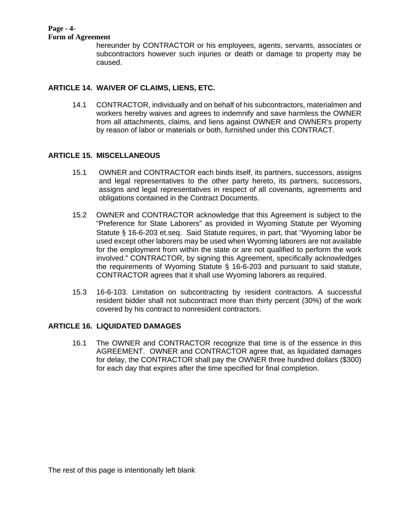#### **Page - 4- Form of Agreement**

hereunder by CONTRACTOR or his employees, agents, servants, associates or subcontractors however such injuries or death or damage to property may be caused.

# **ARTICLE 14. WAIVER OF CLAIMS, LIENS, ETC.**

14.1 CONTRACTOR, individually and on behalf of his subcontractors, materialmen and workers hereby waives and agrees to indemnify and save harmless the OWNER from all attachments, claims, and liens against OWNER and OWNER's property by reason of labor or materials or both, furnished under this CONTRACT.

# **ARTICLE 15. MISCELLANEOUS**

- 15.1 OWNER and CONTRACTOR each binds itself, its partners, successors, assigns and legal representatives to the other party hereto, its partners, successors, assigns and legal representatives in respect of all covenants, agreements and obligations contained in the Contract Documents.
- 15.2 OWNER and CONTRACTOR acknowledge that this Agreement is subject to the "Preference for State Laborers" as provided in Wyoming Statute per Wyoming Statute § 16-6-203 et.seq. Said Statute requires, in part, that "Wyoming labor be used except other laborers may be used when Wyoming laborers are not available for the employment from within the state or are not qualified to perform the work involved." CONTRACTOR, by signing this Agreement, specifically acknowledges the requirements of Wyoming Statute § 16-6-203 and pursuant to said statute, CONTRACTOR agrees that it shall use Wyoming laborers as required.
- 15.3 16-6-103. Limitation on subcontracting by resident contractors. A successful resident bidder shall not subcontract more than thirty percent (30%) of the work covered by his contract to nonresident contractors.

# **ARTICLE 16. LIQUIDATED DAMAGES**

 16.1 The OWNER and CONTRACTOR recognize that time is of the essence in this AGREEMENT. OWNER and CONTRACTOR agree that, as liquidated damages for delay, the CONTRACTOR shall pay the OWNER three hundred dollars (\$300) for each day that expires after the time specified for final completion.